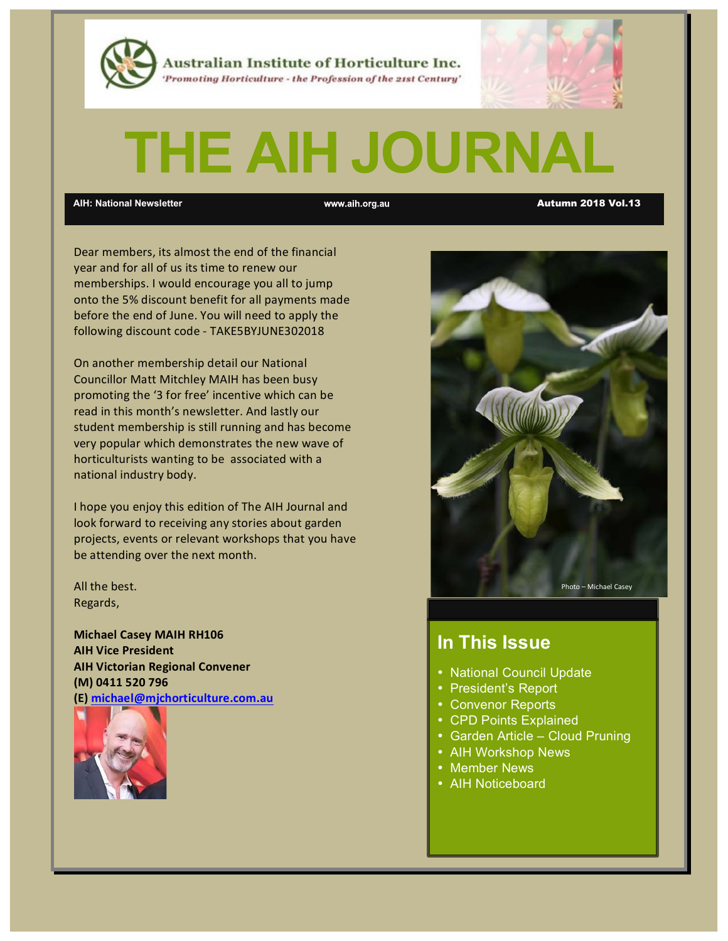

Australian Institute of Horticulture Inc. 'Promoting Horticulture - the Profession of the 21st Century'

# **THE AIH JOURNAL**

**AIH: National Newsletter** Autumn 2018 Vol.13

Dear members, its almost the end of the financial year and for all of us its time to renew our memberships. I would encourage you all to jump onto the 5% discount benefit for all payments made before the end of June. You will need to apply the following discount code - TAKE5BYJUNE302018

On another membership detail our National Councillor Matt Mitchley MAIH has been busy promoting the '3 for free' incentive which can be read in this month's newsletter. And lastly our student membership is still running and has become very popular which demonstrates the new wave of horticulturists wanting to be associated with a national industry body.

I hope you enjoy this edition of The AIH Journal and look forward to receiving any stories about garden projects, events or relevant workshops that you have be attending over the next month.

All the best. Regards,

**Michael Casey MAIH RH106 AIH Vice President AIH Victorian Regional Convener (M) 0411 520 796 (E) michael@mjchorticulture.com.au**





# **In This Issue**

- National Council Update
- President's Report
- Convenor Reports
- CPD Points Explained
- Garden Article Cloud Pruning
- AIH Workshop News
- Member News
- AIH Noticeboard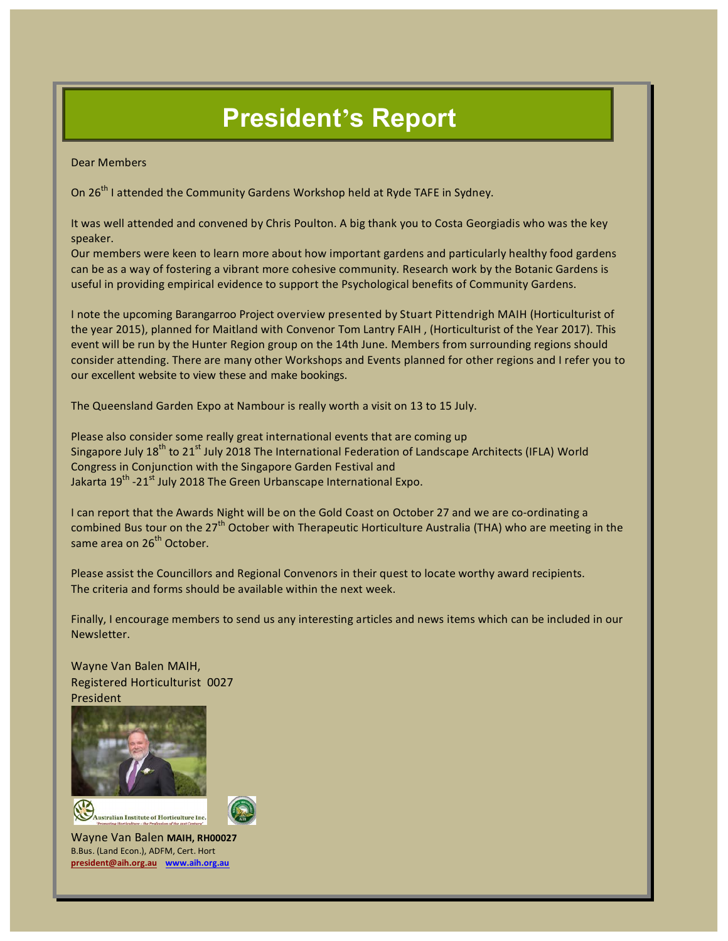# **President's Report**

Dear Members

On  $26^{th}$  I attended the Community Gardens Workshop held at Ryde TAFE in Sydney.

It was well attended and convened by Chris Poulton. A big thank you to Costa Georgiadis who was the key speaker.

Our members were keen to learn more about how important gardens and particularly healthy food gardens can be as a way of fostering a vibrant more cohesive community. Research work by the Botanic Gardens is useful in providing empirical evidence to support the Psychological benefits of Community Gardens.

I note the upcoming Barangarroo Project overview presented by Stuart Pittendrigh MAIH (Horticulturist of the year 2015), planned for Maitland with Convenor Tom Lantry FAIH , (Horticulturist of the Year 2017). This event will be run by the Hunter Region group on the 14th June. Members from surrounding regions should consider attending. There are many other Workshops and Events planned for other regions and I refer you to our excellent website to view these and make bookings.

The Queensland Garden Expo at Nambour is really worth a visit on 13 to 15 July.

Please also consider some really great international events that are coming up Singapore July  $18<sup>th</sup>$  to 21<sup>st</sup> July 2018 The International Federation of Landscape Architects (IFLA) World Congress in Conjunction with the Singapore Garden Festival and Jakarta 19<sup>th</sup> -21<sup>st</sup> July 2018 The Green Urbanscape International Expo.

I can report that the Awards Night will be on the Gold Coast on October 27 and we are co-ordinating a combined Bus tour on the 27<sup>th</sup> October with Therapeutic Horticulture Australia (THA) who are meeting in the same area on 26<sup>th</sup> October.

Please assist the Councillors and Regional Convenors in their quest to locate worthy award recipients. The criteria and forms should be available within the next week.

Finally, I encourage members to send us any interesting articles and news items which can be included in our Newsletter. 

Wayne Van Balen MAIH, Registered Horticulturist 0027 President







Wayne Van Balen **MAIH, RH00027** B.Bus. (Land Econ.), ADFM, Cert. Hort **president@aih.org.au www.aih.org.au**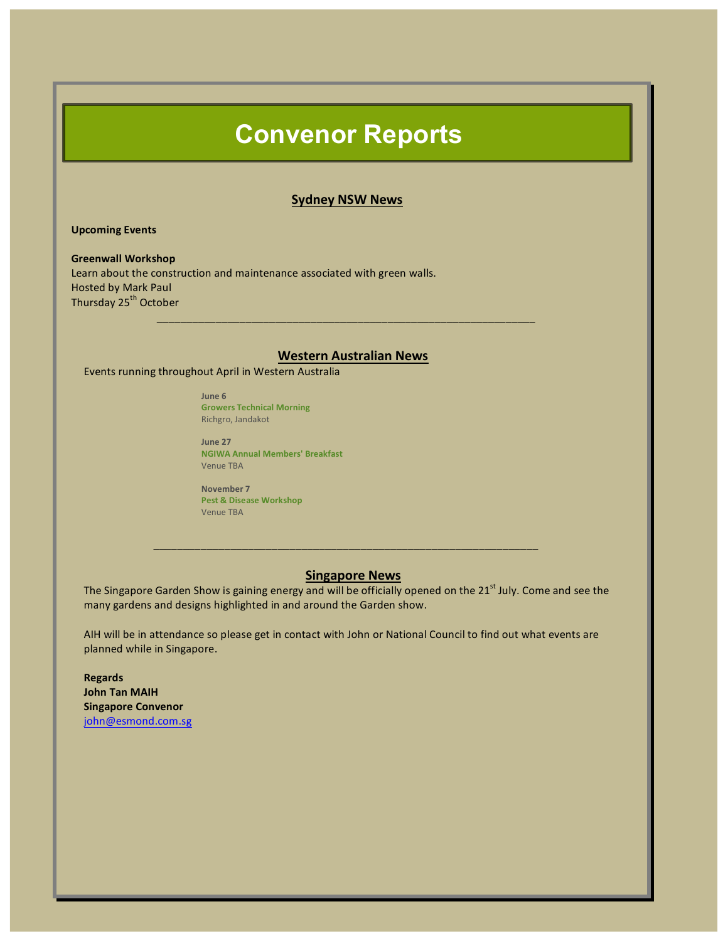# **Convenor Reports**

#### **Sydney NSW News**

**Upcoming Events** 

**Greenwall Workshop** Learn about the construction and maintenance associated with green walls. Hosted by Mark Paul Thursday 25<sup>th</sup> October \_\_\_\_\_\_\_\_\_\_\_\_\_\_\_\_\_\_\_\_\_\_\_\_\_\_\_\_\_\_\_\_\_\_\_\_\_\_\_\_\_\_\_\_\_\_\_\_\_\_\_\_\_\_\_\_\_\_\_\_\_\_\_\_

## **Western Australian News**

Events running throughout April in Western Australia

**June 6 Growers Technical Morning** Richgro, Jandakot

**June 27 NGIWA Annual Members' Breakfast** Venue TBA

**November 7 Pest & Disease Workshop** Venue TBA

## **Singapore News**

The Singapore Garden Show is gaining energy and will be officially opened on the 21<sup>st</sup> July. Come and see the many gardens and designs highlighted in and around the Garden show.

 $\bar{a}$  , and the contribution of the contribution of  $\bar{a}$  , and  $\bar{a}$  , and  $\bar{a}$  , and  $\bar{a}$  , and  $\bar{a}$ 

AIH will be in attendance so please get in contact with John or National Council to find out what events are planned while in Singapore.

**Regards John Tan MAIH Singapore Convenor** john@esmond.com.sg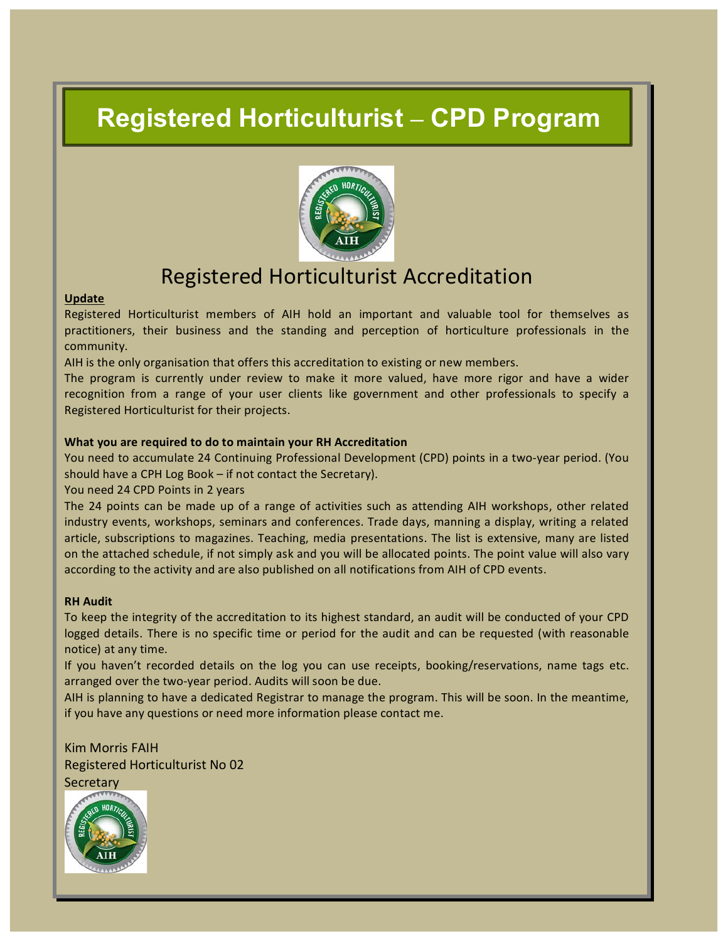# **Registered Horticulturist – CPD Program**



# Registered Horticulturist Accreditation

## **Update**

Registered Horticulturist members of AIH hold an important and valuable tool for themselves as practitioners, their business and the standing and perception of horticulture professionals in the community. 

AIH is the only organisation that offers this accreditation to existing or new members.

The program is currently under review to make it more valued, have more rigor and have a wider recognition from a range of your user clients like government and other professionals to specify a Registered Horticulturist for their projects.

## **What you are required to do to maintain your RH Accreditation**

You need to accumulate 24 Continuing Professional Development (CPD) points in a two-year period. (You should have a CPH Log Book  $-$  if not contact the Secretary).

You need 24 CPD Points in 2 years

The 24 points can be made up of a range of activities such as attending AIH workshops, other related industry events, workshops, seminars and conferences. Trade days, manning a display, writing a related article, subscriptions to magazines. Teaching, media presentations. The list is extensive, many are listed on the attached schedule, if not simply ask and you will be allocated points. The point value will also vary according to the activity and are also published on all notifications from AIH of CPD events.

## **RH Audit**

To keep the integrity of the accreditation to its highest standard, an audit will be conducted of your CPD logged details. There is no specific time or period for the audit and can be requested (with reasonable notice) at any time.

If you haven't recorded details on the log you can use receipts, booking/reservations, name tags etc. arranged over the two-year period. Audits will soon be due.

AIH is planning to have a dedicated Registrar to manage the program. This will be soon. In the meantime, if you have any questions or need more information please contact me.

Kim Morris FAIH Registered Horticulturist No 02 **Secretary** 

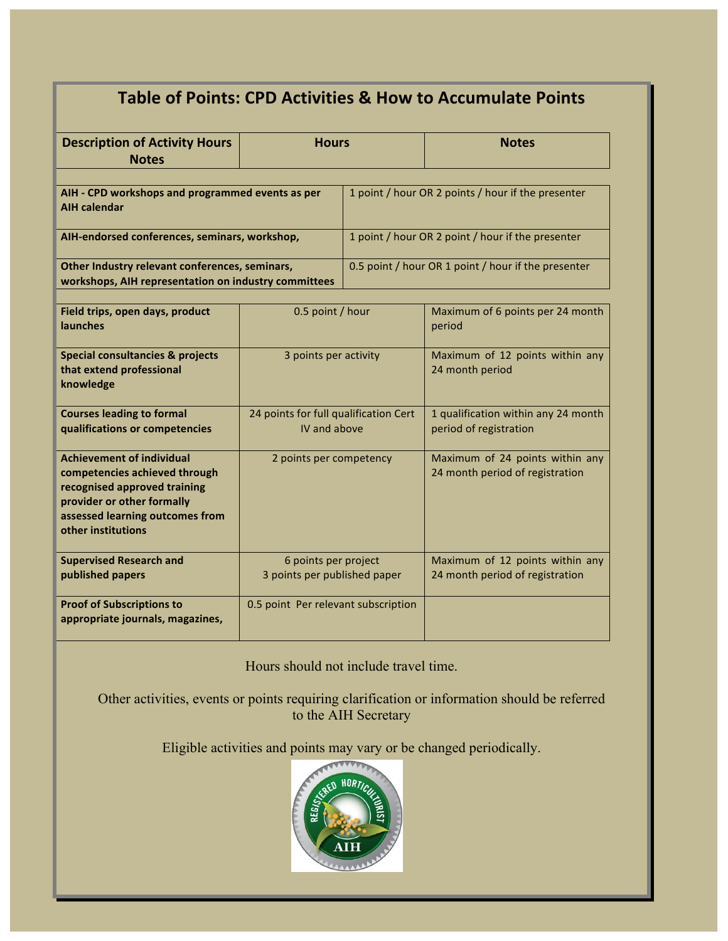| Table of Points: CPD Activities & How to Accumulate Points                                                                                                                               |                                                       |                                                     |                                                                    |
|------------------------------------------------------------------------------------------------------------------------------------------------------------------------------------------|-------------------------------------------------------|-----------------------------------------------------|--------------------------------------------------------------------|
| <b>Description of Activity Hours</b><br><b>Notes</b>                                                                                                                                     | <b>Hours</b>                                          |                                                     | <b>Notes</b>                                                       |
| AIH - CPD workshops and programmed events as per<br><b>AIH calendar</b>                                                                                                                  |                                                       | 1 point / hour OR 2 points / hour if the presenter  |                                                                    |
| AIH-endorsed conferences, seminars, workshop,                                                                                                                                            |                                                       | 1 point / hour OR 2 point / hour if the presenter   |                                                                    |
| Other Industry relevant conferences, seminars,<br>workshops, AIH representation on industry committees                                                                                   |                                                       | 0.5 point / hour OR 1 point / hour if the presenter |                                                                    |
| Field trips, open days, product<br><b>launches</b>                                                                                                                                       | 0.5 point / hour                                      |                                                     | Maximum of 6 points per 24 month<br>period                         |
| <b>Special consultancies &amp; projects</b><br>that extend professional<br>knowledge                                                                                                     | 3 points per activity                                 |                                                     | Maximum of 12 points within any<br>24 month period                 |
| <b>Courses leading to formal</b><br>qualifications or competencies                                                                                                                       | 24 points for full qualification Cert<br>IV and above |                                                     | 1 qualification within any 24 month<br>period of registration      |
| <b>Achievement of individual</b><br>competencies achieved through<br>recognised approved training<br>provider or other formally<br>assessed learning outcomes from<br>other institutions | 2 points per competency                               |                                                     | Maximum of 24 points within any<br>24 month period of registration |
| <b>Supervised Research and</b><br>published papers                                                                                                                                       | 6 points per project<br>3 points per published paper  |                                                     | Maximum of 12 points within any<br>24 month period of registration |
| <b>Proof of Subscriptions to</b><br>appropriate journals, magazines,                                                                                                                     | 0.5 point Per relevant subscription                   |                                                     |                                                                    |

Hours should not include travel time.

Other activities, events or points requiring clarification or information should be referred to the AIH Secretary

Eligible activities and points may vary or be changed periodically.

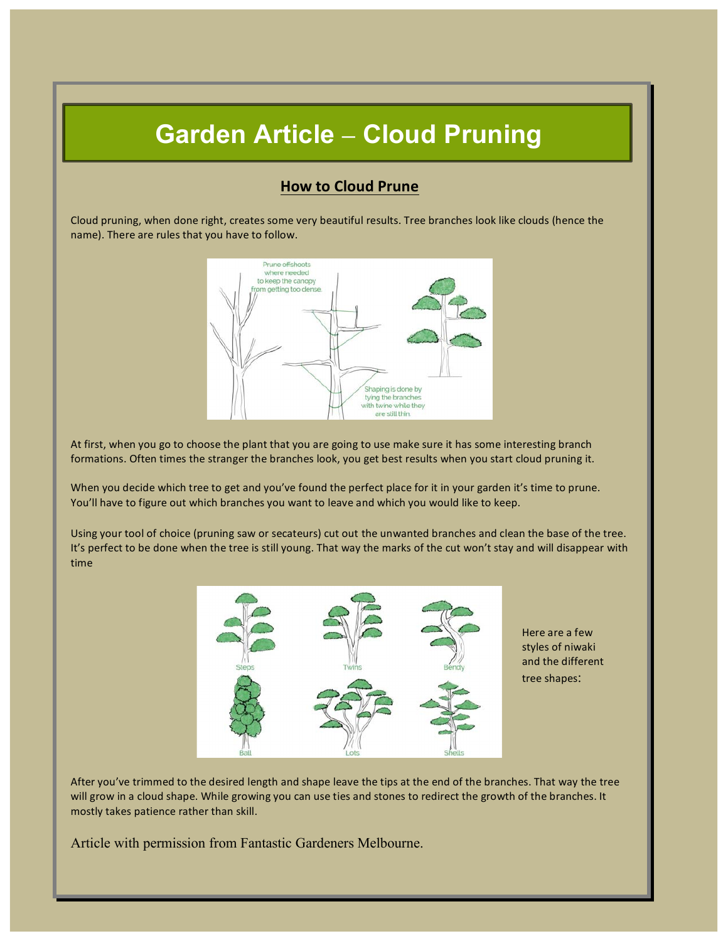# **Garden Article – Cloud Pruning**

# **How to Cloud Prune**

Cloud pruning, when done right, creates some very beautiful results. Tree branches look like clouds (hence the name). There are rules that you have to follow.



At first, when you go to choose the plant that you are going to use make sure it has some interesting branch formations. Often times the stranger the branches look, you get best results when you start cloud pruning it.

When you decide which tree to get and you've found the perfect place for it in your garden it's time to prune. You'll have to figure out which branches you want to leave and which you would like to keep.

Using your tool of choice (pruning saw or secateurs) cut out the unwanted branches and clean the base of the tree. It's perfect to be done when the tree is still young. That way the marks of the cut won't stay and will disappear with time



Here are a few styles of niwaki and the different tree shapes:

After you've trimmed to the desired length and shape leave the tips at the end of the branches. That way the tree will grow in a cloud shape. While growing you can use ties and stones to redirect the growth of the branches. It mostly takes patience rather than skill.

Article with permission from Fantastic Gardeners Melbourne.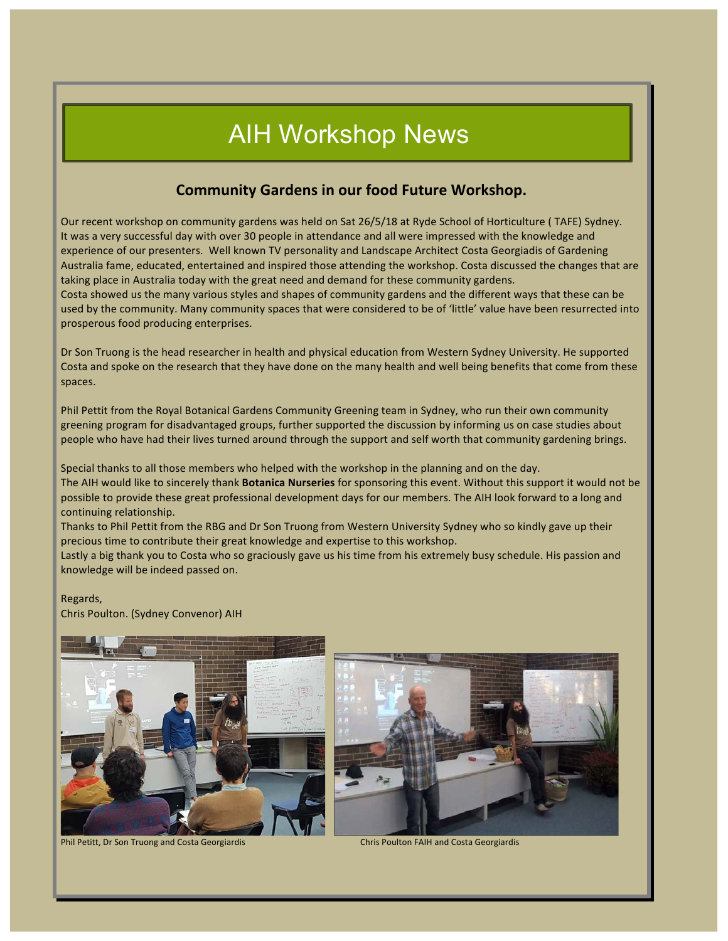# AIH Workshop News

# **Community Gardens in our food Future Workshop.**

Our recent workshop on community gardens was held on Sat 26/5/18 at Ryde School of Horticulture (TAFE) Sydney. It was a very successful day with over 30 people in attendance and all were impressed with the knowledge and experience of our presenters. Well known TV personality and Landscape Architect Costa Georgiadis of Gardening Australia fame, educated, entertained and inspired those attending the workshop. Costa discussed the changes that are taking place in Australia today with the great need and demand for these community gardens. Costa showed us the many various styles and shapes of community gardens and the different ways that these can be

used by the community. Many community spaces that were considered to be of 'little' value have been resurrected into prosperous food producing enterprises.

Dr Son Truong is the head researcher in health and physical education from Western Sydney University. He supported Costa and spoke on the research that they have done on the many health and well being benefits that come from these spaces.

Phil Pettit from the Royal Botanical Gardens Community Greening team in Sydney, who run their own community greening program for disadvantaged groups, further supported the discussion by informing us on case studies about people who have had their lives turned around through the support and self worth that community gardening brings.

Special thanks to all those members who helped with the workshop in the planning and on the day. The AIH would like to sincerely thank **Botanica Nurseries** for sponsoring this event. Without this support it would not be possible to provide these great professional development days for our members. The AIH look forward to a long and continuing relationship.

Thanks to Phil Pettit from the RBG and Dr Son Truong from Western University Sydney who so kindly gave up their precious time to contribute their great knowledge and expertise to this workshop.

Lastly a big thank you to Costa who so graciously gave us his time from his extremely busy schedule. His passion and knowledge will be indeed passed on.

Regards,

Chris Poulton. (Sydney Convenor) AIH



Phil Petitt, Dr Son Truong and Costa Georgiardis Chris Poulton FAIH and Costa Georgiardis

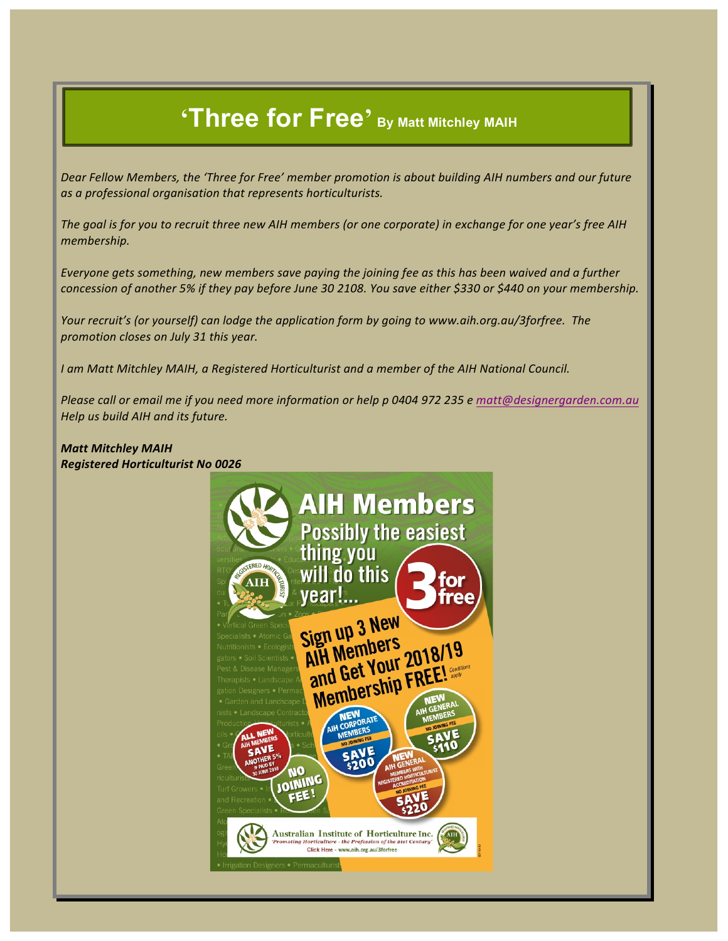# **'Three for Free' By Matt Mitchley MAIH**

Dear Fellow Members, the 'Three for Free' member promotion is about building AIH numbers and our future as a professional organisation that represents horticulturists.

The goal is for you to recruit three new AIH members (or one corporate) in exchange for one year's free AIH *membership.*

*Everyone gets something, new members save paying the joining fee as this has been waived and a further* concession of another 5% if they pay before June 30 2108. You save either \$330 or \$440 on your membership.

*Your recruit's (or yourself)* can lodge the application form by going to www.aih.org.au/3forfree. The *promotion closes on July 31 this year.*

*I* am Matt Mitchley MAIH, a Registered Horticulturist and a member of the AIH National Council.

*Please call or email me if you need more information or help p 0404 972 235 e matt@designergarden.com.au Help us build AIH and its future.*

**Matt Mitchley MAIH** *Registered Horticulturist No 0026*

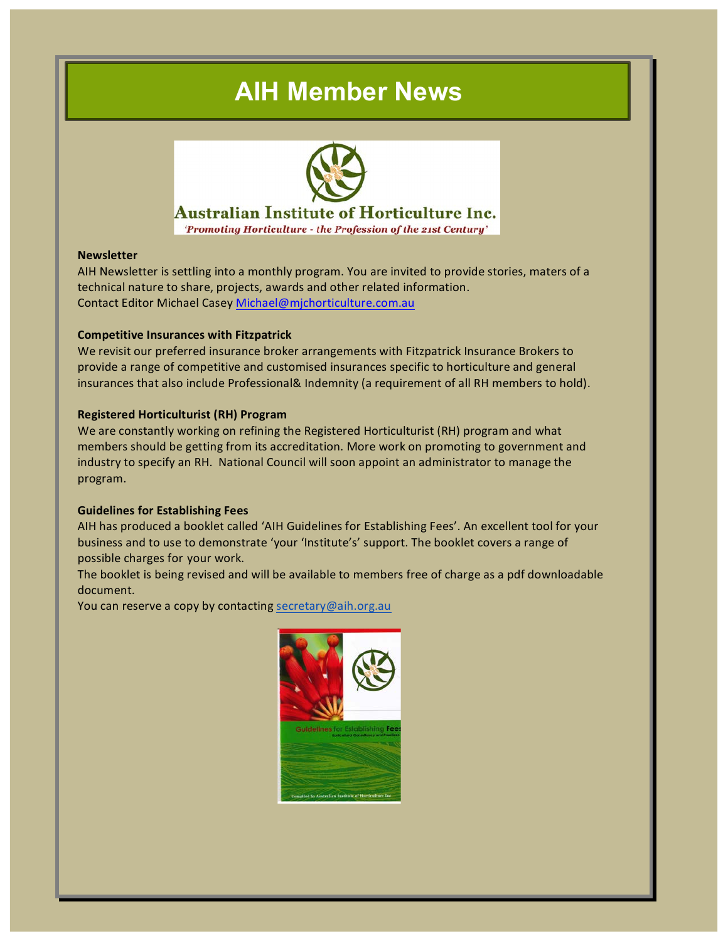# **AIH Member News**



# **Australian Institute of Horticulture Inc.**

'Promoting Horticulture - the Profession of the 21st Century'

## **Newsletter**

AIH Newsletter is settling into a monthly program. You are invited to provide stories, maters of a technical nature to share, projects, awards and other related information. Contact Editor Michael Casey Michael@mjchorticulture.com.au

## **Competitive Insurances with Fitzpatrick**

We revisit our preferred insurance broker arrangements with Fitzpatrick Insurance Brokers to provide a range of competitive and customised insurances specific to horticulture and general insurances that also include Professional& Indemnity (a requirement of all RH members to hold).

## **Registered Horticulturist (RH) Program**

We are constantly working on refining the Registered Horticulturist (RH) program and what members should be getting from its accreditation. More work on promoting to government and industry to specify an RH. National Council will soon appoint an administrator to manage the program.

## **Guidelines for Establishing Fees**

AIH has produced a booklet called 'AIH Guidelines for Establishing Fees'. An excellent tool for your business and to use to demonstrate 'your 'Institute's' support. The booklet covers a range of possible charges for your work.

The booklet is being revised and will be available to members free of charge as a pdf downloadable document.

You can reserve a copy by contacting secretary@aih.org.au

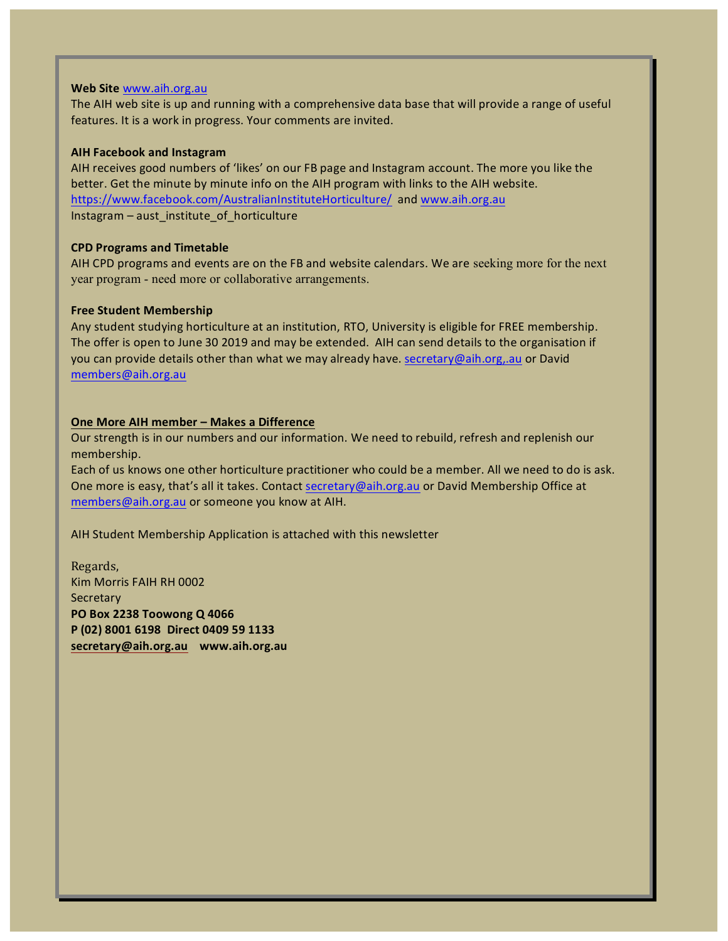## Web Site www.aih.org.au

The AIH web site is up and running with a comprehensive data base that will provide a range of useful features. It is a work in progress. Your comments are invited.

## **AIH Facebook and Instagram**

AIH receives good numbers of 'likes' on our FB page and Instagram account. The more you like the better. Get the minute by minute info on the AIH program with links to the AIH website. https://www.facebook.com/AustralianInstituteHorticulture/ and www.aih.org.au Instagram – aust\_institute\_of\_horticulture

## **CPD Programs and Timetable**

AIH CPD programs and events are on the FB and website calendars. We are seeking more for the next year program - need more or collaborative arrangements.

## **Free Student Membership**

Any student studying horticulture at an institution, RTO, University is eligible for FREE membership. The offer is open to June 30 2019 and may be extended. AIH can send details to the organisation if you can provide details other than what we may already have. secretary@aih.org,.au or David members@aih.org.au

## **One More AIH member - Makes a Difference**

Our strength is in our numbers and our information. We need to rebuild, refresh and replenish our membership.

Each of us knows one other horticulture practitioner who could be a member. All we need to do is ask. One more is easy, that's all it takes. Contact secretary@aih.org.au or David Membership Office at members@aih.org.au or someone you know at AIH.

AIH Student Membership Application is attached with this newsletter

Regards, Kim Morris FAIH RH 0002 **Secretary PO Box 2238 Toowong Q 4066 P (02) 8001 6198 Direct 0409 59 1133 secretary@aih.org.au www.aih.org.au**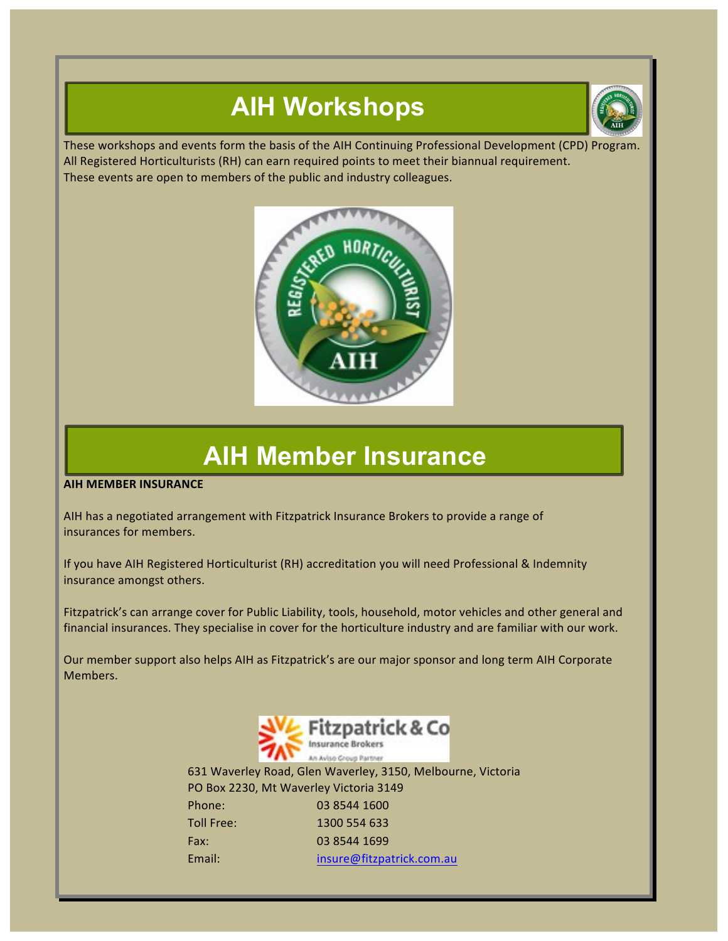# **AIH Workshops**



These workshops and events form the basis of the AIH Continuing Professional Development (CPD) Program. All Registered Horticulturists (RH) can earn required points to meet their biannual requirement. These events are open to members of the public and industry colleagues.



# **AIH Member Insurance**

**AIH MEMBER INSURANCE** 

AIH has a negotiated arrangement with Fitzpatrick Insurance Brokers to provide a range of insurances for members.

If you have AIH Registered Horticulturist (RH) accreditation you will need Professional & Indemnity insurance amongst others.

Fitzpatrick's can arrange cover for Public Liability, tools, household, motor vehicles and other general and financial insurances. They specialise in cover for the horticulture industry and are familiar with our work.

Our member support also helps AIH as Fitzpatrick's are our major sponsor and long term AIH Corporate Members.



631 Waverley Road, Glen Waverley, 3150, Melbourne, Victoria PO Box 2230, Mt Waverley Victoria 3149 Phone: 03 8544 1600 Toll Free: 1300 554 633 Fax: 03 8544 1699 Email: insure@fitzpatrick.com.au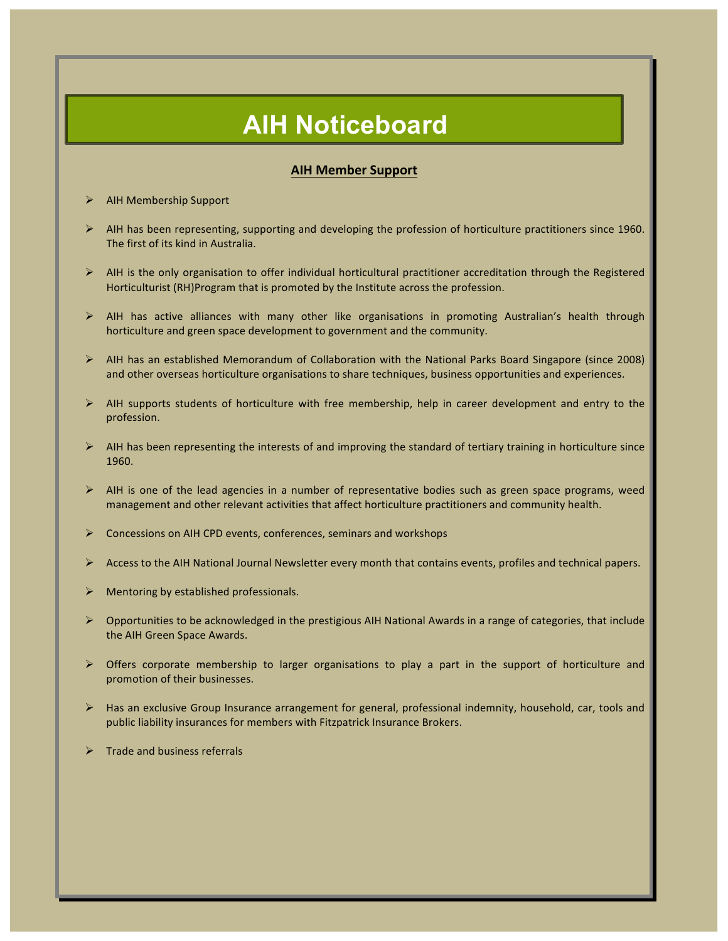# **AIH Noticeboard**

## **AIH Member Support**

- AIH Membership Support
- $\triangleright$  AIH has been representing, supporting and developing the profession of horticulture practitioners since 1960. The first of its kind in Australia.
- $\triangleright$  AIH is the only organisation to offer individual horticultural practitioner accreditation through the Registered Horticulturist (RH)Program that is promoted by the Institute across the profession.
- $\triangleright$  AIH has active alliances with many other like organisations in promoting Australian's health through horticulture and green space development to government and the community.
- $\triangleright$  AIH has an established Memorandum of Collaboration with the National Parks Board Singapore (since 2008) and other overseas horticulture organisations to share techniques, business opportunities and experiences.
- $\triangleright$  AIH supports students of horticulture with free membership, help in career development and entry to the profession.
- $\triangleright$  AIH has been representing the interests of and improving the standard of tertiary training in horticulture since 1960.
- $\triangleright$  AIH is one of the lead agencies in a number of representative bodies such as green space programs, weed management and other relevant activities that affect horticulture practitioners and community health.
- Concessions on AIH CPD events, conferences, seminars and workshops
- Access to the AIH National Journal Newsletter every month that contains events, profiles and technical papers.
- Mentoring by established professionals.
- Opportunities to be acknowledged in the prestigious AIH National Awards in a range of categories, that include the AIH Green Space Awards.
- $\triangleright$  Offers corporate membership to larger organisations to play a part in the support of horticulture and promotion of their businesses.
- $\triangleright$  Has an exclusive Group Insurance arrangement for general, professional indemnity, household, car, tools and public liability insurances for members with Fitzpatrick Insurance Brokers.
- Trade and business referrals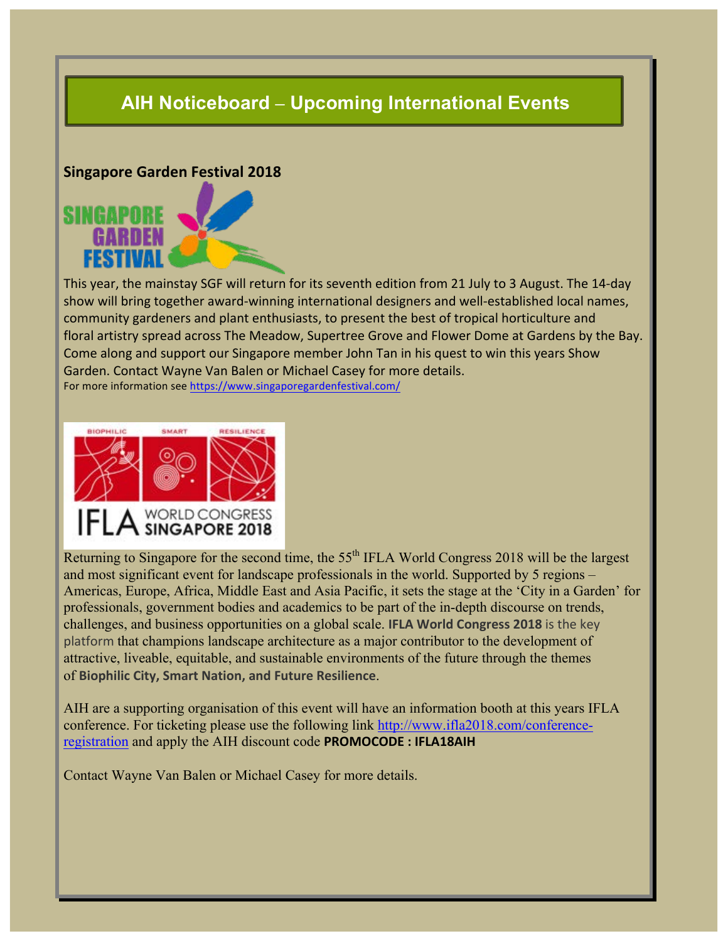# **AIH Noticeboard – Upcoming International Events**

## **Singapore Garden Festival 2018**



This year, the mainstay SGF will return for its seventh edition from 21 July to 3 August. The 14-day show will bring together award-winning international designers and well-established local names, community gardeners and plant enthusiasts, to present the best of tropical horticulture and floral artistry spread across The Meadow, Supertree Grove and Flower Dome at Gardens by the Bay. Come along and support our Singapore member John Tan in his quest to win this years Show Garden. Contact Wayne Van Balen or Michael Casey for more details. For more information see https://www.singaporegardenfestival.com/



Returning to Singapore for the second time, the 55<sup>th</sup> IFLA World Congress 2018 will be the largest and most significant event for landscape professionals in the world. Supported by 5 regions – Americas, Europe, Africa, Middle East and Asia Pacific, it sets the stage at the 'City in a Garden' for professionals, government bodies and academics to be part of the in-depth discourse on trends, challenges, and business opportunities on a global scale. **IFLA World Congress 2018** is the key platform that champions landscape architecture as a major contributor to the development of attractive, liveable, equitable, and sustainable environments of the future through the themes of **Biophilic City, Smart Nation, and Future Resilience**.

AIH are a supporting organisation of this event will have an information booth at this years IFLA conference. For ticketing please use the following link http://www.ifla2018.com/conferenceregistration and apply the AIH discount code **PROMOCODE**: **IFLA18AIH** 

Contact Wayne Van Balen or Michael Casey for more details.